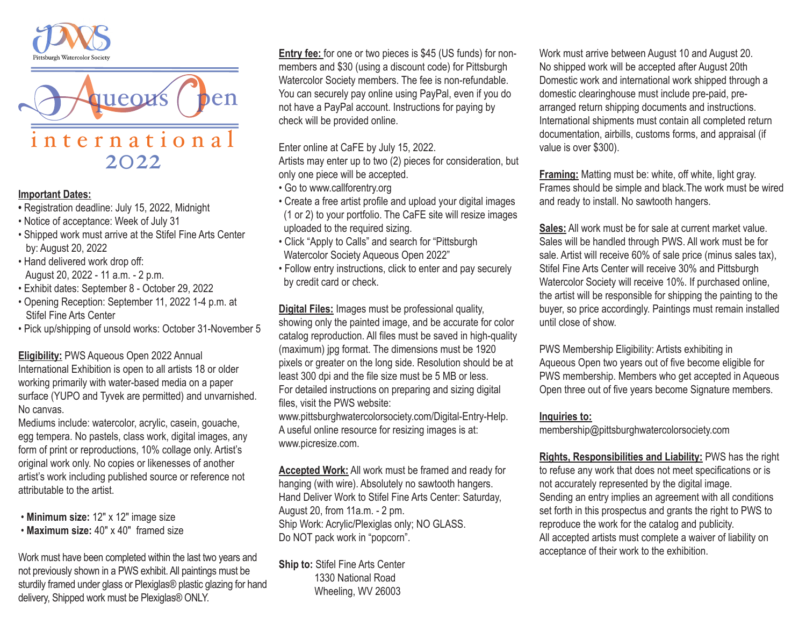



## **Important Dates:**

- Registration deadline: July 15, 2022, Midnight
- Notice of acceptance: Week of July 31
- Shipped work must arrive at the Stifel Fine Arts Center by: August 20, 2022
- Hand delivered work drop off: August 20, 2022 - 11 a.m. - 2 p.m.
- Exhibit dates: September 8 October 29, 2022
- Opening Reception: September 11, 2022 1-4 p.m. at Stifel Fine Arts Center
- Pick up/shipping of unsold works: October 31-November 5

**Eligibility:** PWS Aqueous Open 2022 Annual

International Exhibition is open to all artists 18 or older working primarily with water-based media on a paper surface (YUPO and Tyvek are permitted) and unvarnished. No canvas.

Mediums include: watercolor, acrylic, casein, gouache, egg tempera. No pastels, class work, digital images, any form of print or reproductions, 10% collage only. Artist's original work only. No copies or likenesses of another artist's work including published source or reference not attributable to the artist.

- **Minimum size:** 12" x 12" image size
- **Maximum size:** 40" x 40" framed size

Work must have been completed within the last two years and not previously shown in a PWS exhibit. All paintings must be sturdily framed under glass or Plexiglas® plastic glazing for hand delivery, Shipped work must be Plexiglas® ONLY.

**Entry fee:** for one or two pieces is \$45 (US funds) for nonmembers and \$30 (using a discount code) for Pittsburgh Watercolor Society members. The fee is non-refundable. You can securely pay online using PayPal, even if you do not have a PayPal account. Instructions for paying by check will be provided online.

Enter online at CaFE by July 15, 2022.

Artists may enter up to two (2) pieces for consideration, but only one piece will be accepted.

- Go to [www.callforentry.org](http://www.callforentry.org)
- Create a free artist profile and upload your digital images (1 or 2) to your portfolio. The CaFE site will resize images uploaded to the required sizing.
- Click "Apply to Calls" and search for "Pittsburgh Watercolor Society Aqueous Open 2022"
- Follow entry instructions, click to enter and pay securely by credit card or check.

**Digital Files:** Images must be professional quality, showing only the painted image, and be accurate for color catalog reproduction. All files must be saved in high-quality (maximum) jpg format. The dimensions must be 1920 pixels or greater on the long side. Resolution should be at least 300 dpi and the file size must be 5 MB or less. For detailed instructions on preparing and sizing digital files, visit the PWS website:

[www.pittsburghwatercolorsociety.com/Digital-Entry-Help.](http://www.pittsburghwatercolorsociety.com/Digital-Entry-Help) A useful online resource for resizing images is at: [www.picresize.com.](http://www.picresize.com)

**Accepted Work:** All work must be framed and ready for hanging (with wire). Absolutely no sawtooth hangers. Hand Deliver Work to Stifel Fine Arts Center: Saturday, August 20, from 11a.m. - 2 pm. Ship Work: Acrylic/Plexiglas only; NO GLASS. Do NOT pack work in "popcorn".

**Ship to:** Stifel Fine Arts Center 1330 National Road Wheeling, WV 26003

Work must arrive between August 10 and August 20. No shipped work will be accepted after August 20th Domestic work and international work shipped through a domestic clearinghouse must include pre-paid, prearranged return shipping documents and instructions. International shipments must contain all completed return documentation, airbills, customs forms, and appraisal (if value is over \$300).

**Framing:** Matting must be: white, off white, light gray. Frames should be simple and black.The work must be wired and ready to install. No sawtooth hangers.

**Sales:** All work must be for sale at current market value. Sales will be handled through PWS. All work must be for sale. Artist will receive 60% of sale price (minus sales tax), Stifel Fine Arts Center will receive 30% and Pittsburgh Watercolor Society will receive 10%. If purchased online, the artist will be responsible for shipping the painting to the buyer, so price accordingly. Paintings must remain installed until close of show.

PWS Membership Eligibility: Artists exhibiting in Aqueous Open two years out of five become eligible for PWS membership. Members who get accepted in Aqueous Open three out of five years become Signature members.

## **Inquiries to:**

[membership@pittsburghwatercolorsociety.com](mailto:membership@pittsburghwatercolorsociety.com)

**Rights, Responsibilities and Liability:** PWS has the right to refuse any work that does not meet specifications or is not accurately represented by the digital image. Sending an entry implies an agreement with all conditions set forth in this prospectus and grants the right to PWS to reproduce the work for the catalog and publicity. All accepted artists must complete a waiver of liability on acceptance of their work to the exhibition.